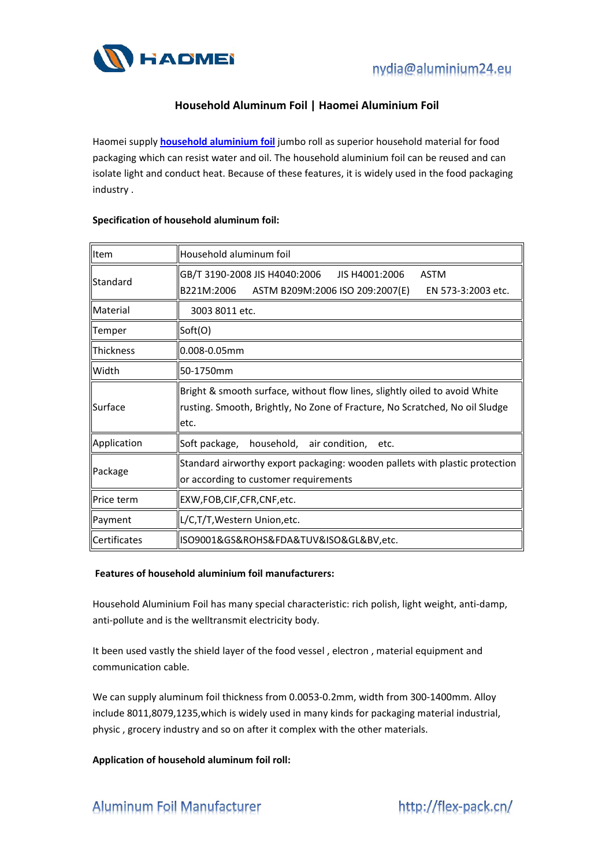



## **Household Aluminum Foil | Haomei Aluminium Foil**

Haomei supply **household [aluminium](http://flex-pack.cn/household-aluminum-foil.html) foil** jumbo roll as superior household material for food packaging which can resist water and oil. The household aluminium foil can be reused and can isolate light and conduct heat. Because of these features, it is widely used in the food packaging industry .

| Item             | Household aluminum foil                                                                                                                                            |
|------------------|--------------------------------------------------------------------------------------------------------------------------------------------------------------------|
| Standard         | GB/T 3190-2008 JIS H4040:2006<br>JIS H4001:2006<br><b>ASTM</b><br>B221M:2006<br>ASTM B209M:2006 ISO 209:2007(E)<br>EN 573-3:2003 etc.                              |
| Material         | 3003 8011 etc.                                                                                                                                                     |
| Temper           | Soft(O)                                                                                                                                                            |
| <b>Thickness</b> | $0.008 - 0.05$ mm                                                                                                                                                  |
| llWidth          | 50-1750mm                                                                                                                                                          |
| Surface          | Bright & smooth surface, without flow lines, slightly oiled to avoid White<br>rusting. Smooth, Brightly, No Zone of Fracture, No Scratched, No oil Sludge<br>letc. |
| Application      | Soft package, household,<br>air condition, etc.                                                                                                                    |
| ∥Package         | Standard airworthy export packaging: wooden pallets with plastic protection<br>or according to customer requirements                                               |
| Price term       | EXW,FOB,CIF,CFR,CNF,etc.                                                                                                                                           |
| Payment          | L/C,T/T, Western Union, etc.                                                                                                                                       |
| Certificates     | ISO9001&GS&ROHS&FDA&TUV&ISO&GL&BV,etc.                                                                                                                             |

## **Specification of household aluminum foil:**

## **Features of household aluminium foil manufacturers:**

Household Aluminium Foil has many special characteristic: rich polish, light weight, anti-damp, anti-pollute and is the welltransmit electricity body.

It been used vastly the shield layer of the food vessel , electron , material equipment and communication cable.

We can supply aluminum foil thickness from 0.0053-0.2mm, width from 300-1400mm. Alloy include 8011,8079,1235,which is widely used in many kinds for packaging material industrial, physic , grocery industry and so on after it complex with the other materials.

**Application of household aluminum foil roll:**

**Aluminum Foil Manufacturer** 

http://flex-pack.cn/